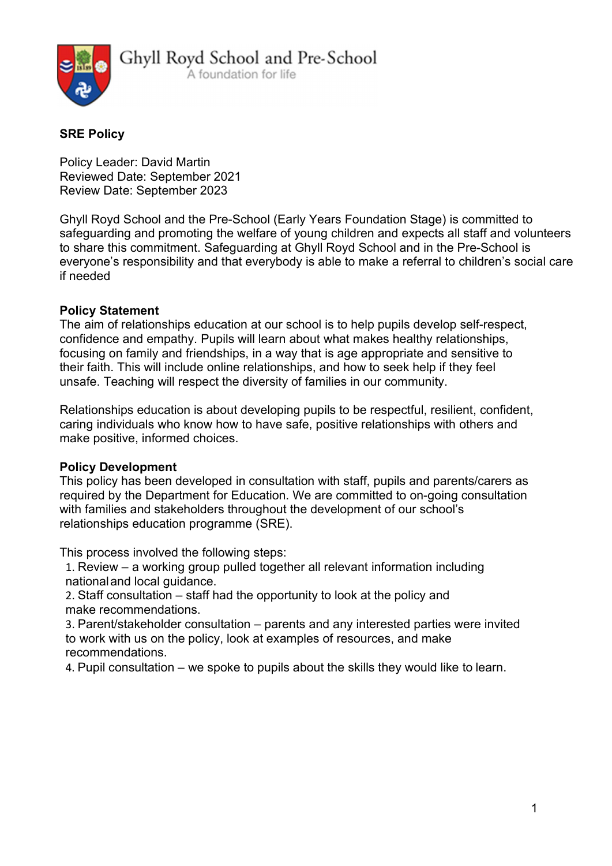

### SRE Policy

Policy Leader: David Martin Reviewed Date: September 2021 Review Date: September 2023

Ghyll Royd School and the Pre-School (Early Years Foundation Stage) is committed to safeguarding and promoting the welfare of young children and expects all staff and volunteers to share this commitment. Safeguarding at Ghyll Royd School and in the Pre-School is everyone's responsibility and that everybody is able to make a referral to children's social care if needed

### Policy Statement

The aim of relationships education at our school is to help pupils develop self-respect, confidence and empathy. Pupils will learn about what makes healthy relationships, focusing on family and friendships, in a way that is age appropriate and sensitive to their faith. This will include online relationships, and how to seek help if they feel unsafe. Teaching will respect the diversity of families in our community.

Relationships education is about developing pupils to be respectful, resilient, confident, caring individuals who know how to have safe, positive relationships with others and make positive, informed choices.

#### Policy Development

This policy has been developed in consultation with staff, pupils and parents/carers as required by the Department for Education. We are committed to on-going consultation with families and stakeholders throughout the development of our school's relationships education programme (SRE).

This process involved the following steps:

1. Review – a working group pulled together all relevant information including national and local guidance.

2. Staff consultation – staff had the opportunity to look at the policy and make recommendations.

3. Parent/stakeholder consultation – parents and any interested parties were invited to work with us on the policy, look at examples of resources, and make recommendations.

4. Pupil consultation – we spoke to pupils about the skills they would like to learn.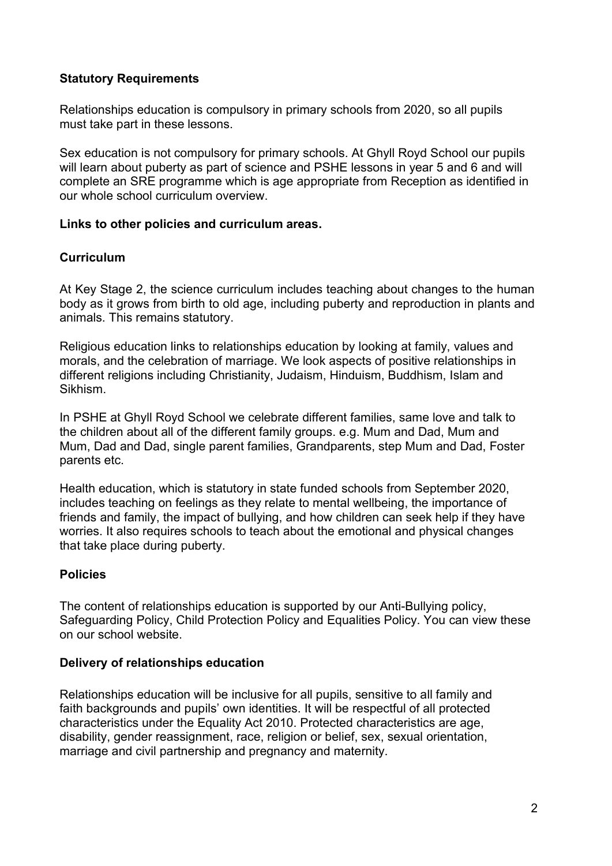### Statutory Requirements

Relationships education is compulsory in primary schools from 2020, so all pupils must take part in these lessons.

Sex education is not compulsory for primary schools. At Ghyll Royd School our pupils will learn about puberty as part of science and PSHE lessons in year 5 and 6 and will complete an SRE programme which is age appropriate from Reception as identified in our whole school curriculum overview.

#### Links to other policies and curriculum areas.

#### **Curriculum**

At Key Stage 2, the science curriculum includes teaching about changes to the human body as it grows from birth to old age, including puberty and reproduction in plants and animals. This remains statutory.

Religious education links to relationships education by looking at family, values and morals, and the celebration of marriage. We look aspects of positive relationships in different religions including Christianity, Judaism, Hinduism, Buddhism, Islam and Sikhism.

In PSHE at Ghyll Royd School we celebrate different families, same love and talk to the children about all of the different family groups. e.g. Mum and Dad, Mum and Mum, Dad and Dad, single parent families, Grandparents, step Mum and Dad, Foster parents etc.

Health education, which is statutory in state funded schools from September 2020, includes teaching on feelings as they relate to mental wellbeing, the importance of friends and family, the impact of bullying, and how children can seek help if they have worries. It also requires schools to teach about the emotional and physical changes that take place during puberty.

### Policies

The content of relationships education is supported by our Anti-Bullying policy, Safeguarding Policy, Child Protection Policy and Equalities Policy. You can view these on our school website.

#### Delivery of relationships education

Relationships education will be inclusive for all pupils, sensitive to all family and faith backgrounds and pupils' own identities. It will be respectful of all protected characteristics under the Equality Act 2010. Protected characteristics are age, disability, gender reassignment, race, religion or belief, sex, sexual orientation, marriage and civil partnership and pregnancy and maternity.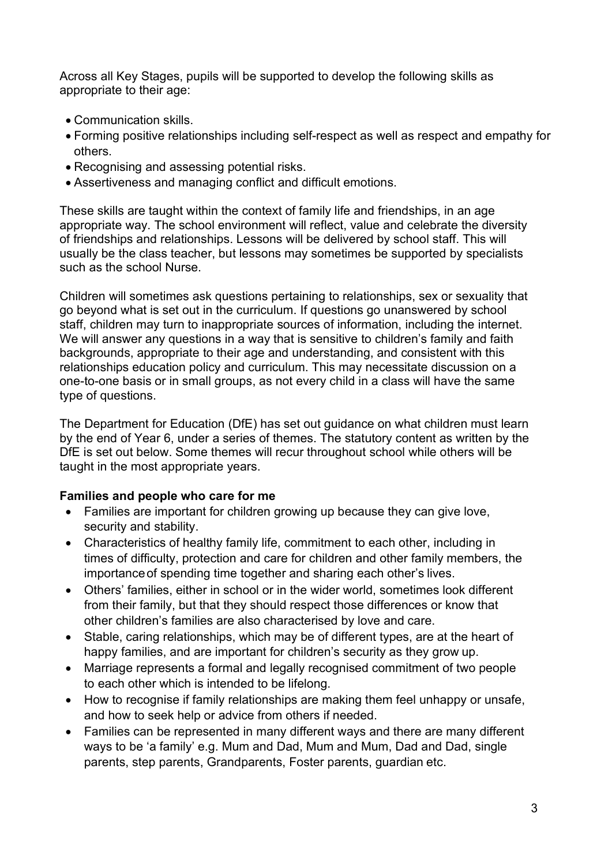Across all Key Stages, pupils will be supported to develop the following skills as appropriate to their age:

- Communication skills.
- Forming positive relationships including self-respect as well as respect and empathy for others.
- Recognising and assessing potential risks.
- Assertiveness and managing conflict and difficult emotions.

These skills are taught within the context of family life and friendships, in an age appropriate way. The school environment will reflect, value and celebrate the diversity of friendships and relationships. Lessons will be delivered by school staff. This will usually be the class teacher, but lessons may sometimes be supported by specialists such as the school Nurse.

Children will sometimes ask questions pertaining to relationships, sex or sexuality that go beyond what is set out in the curriculum. If questions go unanswered by school staff, children may turn to inappropriate sources of information, including the internet. We will answer any questions in a way that is sensitive to children's family and faith backgrounds, appropriate to their age and understanding, and consistent with this relationships education policy and curriculum. This may necessitate discussion on a one-to-one basis or in small groups, as not every child in a class will have the same type of questions.

The Department for Education (DfE) has set out guidance on what children must learn by the end of Year 6, under a series of themes. The statutory content as written by the DfE is set out below. Some themes will recur throughout school while others will be taught in the most appropriate years.

### Families and people who care for me

- Families are important for children growing up because they can give love, security and stability.
- Characteristics of healthy family life, commitment to each other, including in times of difficulty, protection and care for children and other family members, the importance of spending time together and sharing each other's lives.
- Others' families, either in school or in the wider world, sometimes look different from their family, but that they should respect those differences or know that other children's families are also characterised by love and care.
- Stable, caring relationships, which may be of different types, are at the heart of happy families, and are important for children's security as they grow up.
- Marriage represents a formal and legally recognised commitment of two people to each other which is intended to be lifelong.
- How to recognise if family relationships are making them feel unhappy or unsafe, and how to seek help or advice from others if needed.
- Families can be represented in many different ways and there are many different ways to be 'a family' e.g. Mum and Dad, Mum and Mum, Dad and Dad, single parents, step parents, Grandparents, Foster parents, guardian etc.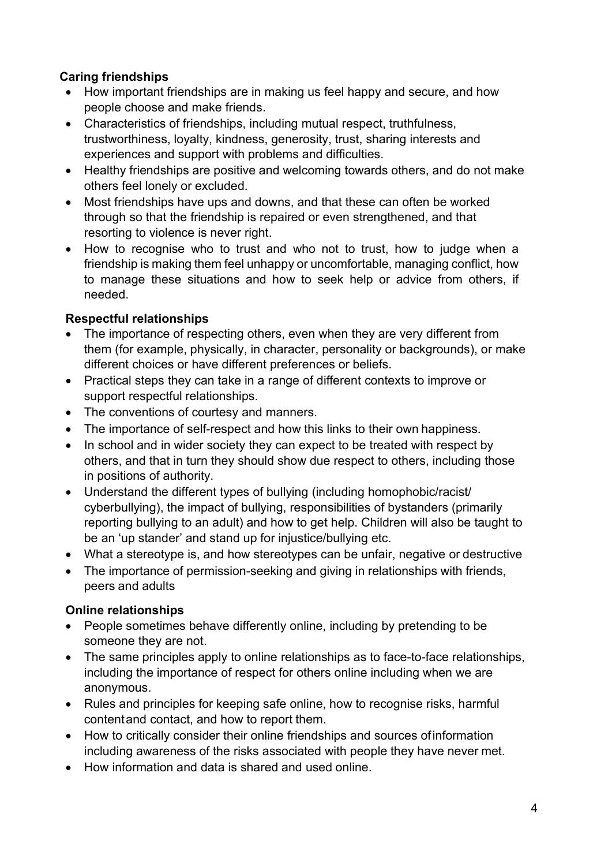# Caring friendships

- How important friendships are in making us feel happy and secure, and how people choose and make friends.
- Characteristics of friendships, including mutual respect, truthfulness, trustworthiness, loyalty, kindness, generosity, trust, sharing interests and experiences and support with problems and difficulties.
- Healthy friendships are positive and welcoming towards others, and do not make others feel lonely or excluded.
- Most friendships have ups and downs, and that these can often be worked through so that the friendship is repaired or even strengthened, and that resorting to violence is never right.
- How to recognise who to trust and who not to trust, how to judge when a friendship is making them feel unhappy or uncomfortable, managing conflict, how to manage these situations and how to seek help or advice from others, if needed.

# Respectful relationships

- The importance of respecting others, even when they are very different from them (for example, physically, in character, personality or backgrounds), or make different choices or have different preferences or beliefs.
- Practical steps they can take in a range of different contexts to improve or support respectful relationships.
- The conventions of courtesy and manners.
- The importance of self-respect and how this links to their own happiness.
- In school and in wider society they can expect to be treated with respect by others, and that in turn they should show due respect to others, including those in positions of authority.
- Understand the different types of bullying (including homophobic/racist/ cyberbullying), the impact of bullying, responsibilities of bystanders (primarily reporting bullying to an adult) and how to get help. Children will also be taught to be an 'up stander' and stand up for injustice/bullying etc.
- What a stereotype is, and how stereotypes can be unfair, negative or destructive
- The importance of permission-seeking and giving in relationships with friends, peers and adults

## Online relationships

- People sometimes behave differently online, including by pretending to be someone they are not.
- The same principles apply to online relationships as to face-to-face relationships, including the importance of respect for others online including when we are anonymous.
- Rules and principles for keeping safe online, how to recognise risks, harmful content and contact, and how to report them.
- How to critically consider their online friendships and sources of information including awareness of the risks associated with people they have never met.
- How information and data is shared and used online.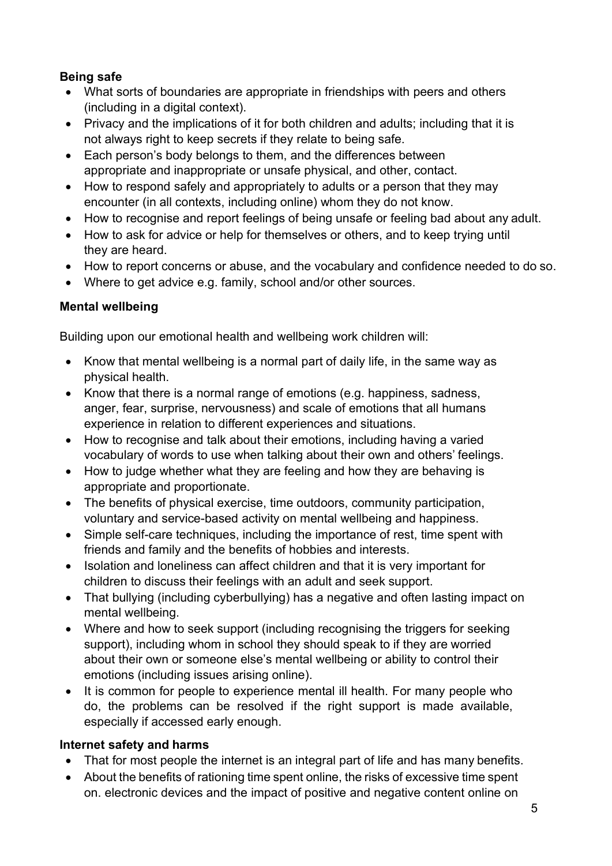# Being safe

- What sorts of boundaries are appropriate in friendships with peers and others (including in a digital context).
- Privacy and the implications of it for both children and adults; including that it is not always right to keep secrets if they relate to being safe.
- Each person's body belongs to them, and the differences between appropriate and inappropriate or unsafe physical, and other, contact.
- How to respond safely and appropriately to adults or a person that they may encounter (in all contexts, including online) whom they do not know.
- How to recognise and report feelings of being unsafe or feeling bad about any adult.
- How to ask for advice or help for themselves or others, and to keep trying until they are heard.
- How to report concerns or abuse, and the vocabulary and confidence needed to do so.
- Where to get advice e.g. family, school and/or other sources.

# Mental wellbeing

Building upon our emotional health and wellbeing work children will:

- Know that mental wellbeing is a normal part of daily life, in the same way as physical health.
- Know that there is a normal range of emotions (e.g. happiness, sadness, anger, fear, surprise, nervousness) and scale of emotions that all humans experience in relation to different experiences and situations.
- How to recognise and talk about their emotions, including having a varied vocabulary of words to use when talking about their own and others' feelings.
- How to judge whether what they are feeling and how they are behaving is appropriate and proportionate.
- The benefits of physical exercise, time outdoors, community participation, voluntary and service-based activity on mental wellbeing and happiness.
- Simple self-care techniques, including the importance of rest, time spent with friends and family and the benefits of hobbies and interests.
- Isolation and loneliness can affect children and that it is very important for children to discuss their feelings with an adult and seek support.
- That bullying (including cyberbullying) has a negative and often lasting impact on mental wellbeing.
- Where and how to seek support (including recognising the triggers for seeking support), including whom in school they should speak to if they are worried about their own or someone else's mental wellbeing or ability to control their emotions (including issues arising online).
- It is common for people to experience mental ill health. For many people who do, the problems can be resolved if the right support is made available, especially if accessed early enough.

## Internet safety and harms

- That for most people the internet is an integral part of life and has many benefits.
- About the benefits of rationing time spent online, the risks of excessive time spent on. electronic devices and the impact of positive and negative content online on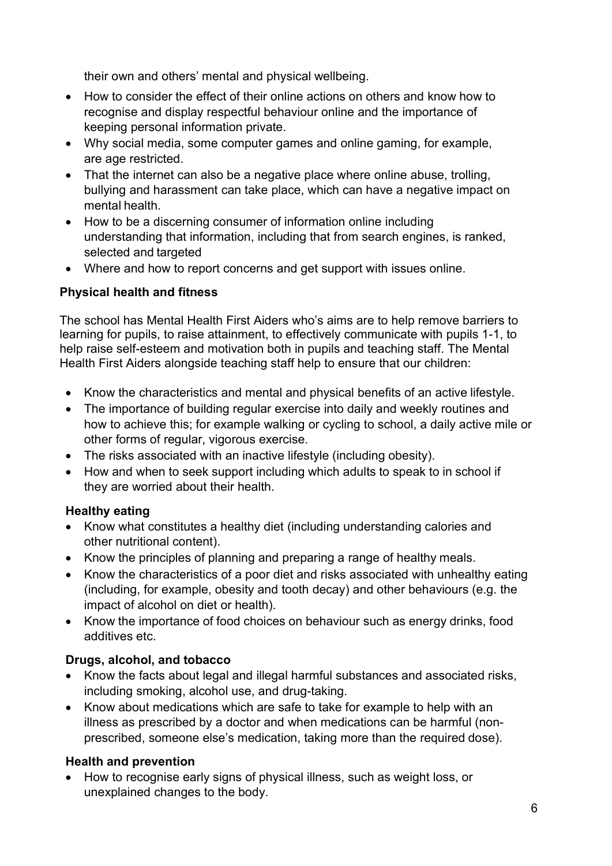their own and others' mental and physical wellbeing.

- How to consider the effect of their online actions on others and know how to recognise and display respectful behaviour online and the importance of keeping personal information private.
- Why social media, some computer games and online gaming, for example, are age restricted.
- That the internet can also be a negative place where online abuse, trolling, bullying and harassment can take place, which can have a negative impact on mental health.
- How to be a discerning consumer of information online including understanding that information, including that from search engines, is ranked, selected and targeted
- Where and how to report concerns and get support with issues online.

## Physical health and fitness

The school has Mental Health First Aiders who's aims are to help remove barriers to learning for pupils, to raise attainment, to effectively communicate with pupils 1-1, to help raise self-esteem and motivation both in pupils and teaching staff. The Mental Health First Aiders alongside teaching staff help to ensure that our children:

- Know the characteristics and mental and physical benefits of an active lifestyle.
- The importance of building regular exercise into daily and weekly routines and how to achieve this; for example walking or cycling to school, a daily active mile or other forms of regular, vigorous exercise.
- The risks associated with an inactive lifestyle (including obesity).
- How and when to seek support including which adults to speak to in school if they are worried about their health.

## Healthy eating

- Know what constitutes a healthy diet (including understanding calories and other nutritional content).
- Know the principles of planning and preparing a range of healthy meals.
- Know the characteristics of a poor diet and risks associated with unhealthy eating (including, for example, obesity and tooth decay) and other behaviours (e.g. the impact of alcohol on diet or health).
- Know the importance of food choices on behaviour such as energy drinks, food additives etc.

## Drugs, alcohol, and tobacco

- Know the facts about legal and illegal harmful substances and associated risks, including smoking, alcohol use, and drug-taking.
- Know about medications which are safe to take for example to help with an illness as prescribed by a doctor and when medications can be harmful (nonprescribed, someone else's medication, taking more than the required dose).

## Health and prevention

• How to recognise early signs of physical illness, such as weight loss, or unexplained changes to the body.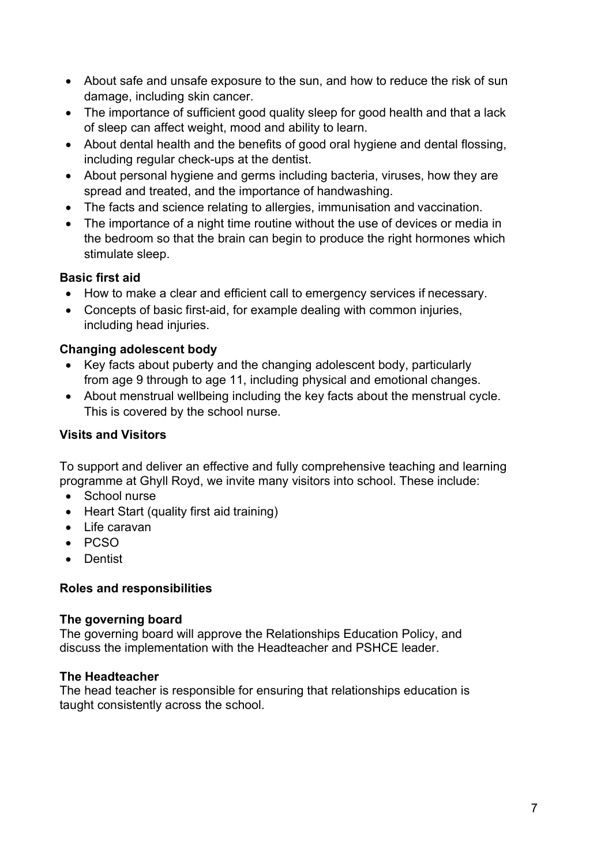- About safe and unsafe exposure to the sun, and how to reduce the risk of sun damage, including skin cancer.
- The importance of sufficient good quality sleep for good health and that a lack of sleep can affect weight, mood and ability to learn.
- About dental health and the benefits of good oral hygiene and dental flossing, including regular check-ups at the dentist.
- About personal hygiene and germs including bacteria, viruses, how they are spread and treated, and the importance of handwashing.
- The facts and science relating to allergies, immunisation and vaccination.
- The importance of a night time routine without the use of devices or media in the bedroom so that the brain can begin to produce the right hormones which stimulate sleep.

### Basic first aid

- How to make a clear and efficient call to emergency services if necessary.
- Concepts of basic first-aid, for example dealing with common injuries, including head injuries.

## Changing adolescent body

- Key facts about puberty and the changing adolescent body, particularly from age 9 through to age 11, including physical and emotional changes.
- About menstrual wellbeing including the key facts about the menstrual cycle. This is covered by the school nurse.

## Visits and Visitors

To support and deliver an effective and fully comprehensive teaching and learning programme at Ghyll Royd, we invite many visitors into school. These include:

- School nurse
- Heart Start (quality first aid training)
- Life caravan
- PCSO
- **•** Dentist

## Roles and responsibilities

### The governing board

The governing board will approve the Relationships Education Policy, and discuss the implementation with the Headteacher and PSHCE leader.

### The Headteacher

The head teacher is responsible for ensuring that relationships education is taught consistently across the school.